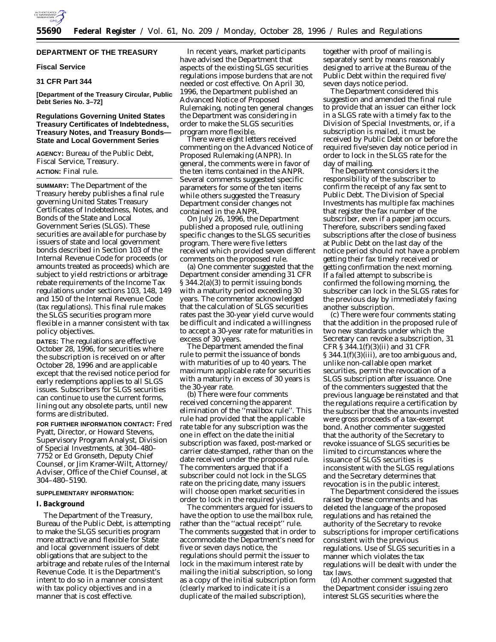

## **DEPARTMENT OF THE TREASURY**

### **Fiscal Service**

## **31 CFR Part 344**

**[Department of the Treasury Circular, Public Debt Series No. 3–72]**

## **Regulations Governing United States Treasury Certificates of Indebtedness, Treasury Notes, and Treasury Bonds— State and Local Government Series**

**AGENCY:** Bureau of the Public Debt, Fiscal Service, Treasury. **ACTION:** Final rule.

**SUMMARY:** The Department of the Treasury hereby publishes a final rule governing United States Treasury Certificates of Indebtedness, Notes, and Bonds of the State and Local Government Series (SLGS). These securities are available for purchase by issuers of state and local government bonds described in Section 103 of the Internal Revenue Code for proceeds (or amounts treated as proceeds) which are subject to yield restrictions or arbitrage rebate requirements of the Income Tax regulations under sections 103, 148, 149 and 150 of the Internal Revenue Code (tax regulations). This final rule makes the SLGS securities program more flexible in a manner consistent with tax policy objectives.

**DATES:** The regulations are effective October 28, 1996, for securities where the subscription is received on or after October 28, 1996 and are applicable except that the revised notice period for early redemptions applies to all SLGS issues. Subscribers for SLGS securities can continue to use the current forms, lining out any obsolete parts, until new forms are distributed.

**FOR FURTHER INFORMATION CONTACT:** Fred Pyatt, Director, or Howard Stevens, Supervisory Program Analyst, Division of Special Investments, at 304–480– 7752 or Ed Gronseth, Deputy Chief Counsel, or Jim Kramer-Wilt, Attorney/ Adviser, Office of the Chief Counsel, at 304–480–5190.

## **SUPPLEMENTARY INFORMATION:**

## **I. Background**

The Department of the Treasury, Bureau of the Public Debt, is attempting to make the SLGS securities program more attractive and flexible for State and local government issuers of debt obligations that are subject to the arbitrage and rebate rules of the Internal Revenue Code. It is the Department's intent to do so in a manner consistent with tax policy objectives and in a manner that is cost effective.

In recent years, market participants have advised the Department that aspects of the existing SLGS securities regulations impose burdens that are not needed or cost effective. On April 30, 1996, the Department published an Advanced Notice of Proposed Rulemaking, noting ten general changes the Department was considering in order to make the SLGS securities program more flexible.

There were eight letters received commenting on the Advanced Notice of Proposed Rulemaking (ANPR). In general, the comments were in favor of the ten items contained in the ANPR. Several comments suggested specific parameters for some of the ten items while others suggested the Treasury Department consider changes not contained in the ANPR.

On July 26, 1996, the Department published a proposed rule, outlining specific changes to the SLGS securities program. There were five letters received which provided seven different comments on the proposed rule.

(a) One commenter suggested that the Department consider amending 31 CFR § 344.2(a)(3) to permit issuing bonds with a maturity period exceeding 30 years. The commenter acknowledged that the calculation of SLGS securities rates past the 30-year yield curve would be difficult and indicated a willingness to accept a 30-year rate for maturities in excess of 30 years.

The Department amended the final rule to permit the issuance of bonds with maturities of up to 40 years. The maximum applicable rate for securities with a maturity in excess of 30 years is the 30-year rate.

(b) There were four comments received concerning the apparent elimination of the ''mailbox rule''. This rule had provided that the applicable rate table for any subscription was the one in effect on the date the initial subscription was faxed, post-marked or carrier date-stamped, rather than on the date received under the proposed rule. The commenters argued that if a subscriber could not lock in the SLGS rate on the pricing date, many issuers will choose open market securities in order to lock in the required yield.

The commenters argued for issuers to have the option to use the mailbox rule, rather than the ''actual receipt'' rule. The comments suggested that in order to accommodate the Department's need for five or seven days notice, the regulations should permit the issuer to lock in the maximum interest rate by mailing the initial subscription, so long as a copy of the initial subscription form (clearly marked to indicate it is a duplicate of the mailed subscription),

together with proof of mailing is separately sent by means reasonably designed to arrive at the Bureau of the Public Debt within the required five/ seven days notice period.

The Department considered this suggestion and amended the final rule to provide that an issuer can either lock in a SLGS rate with a timely fax to the Division of Special Investments, or, if a subscription is mailed, it must be received by Public Debt on or before the required five/seven day notice period in order to lock in the SLGS rate for the day of mailing.

The Department considers it the responsibility of the subscriber to confirm the receipt of any fax sent to Public Debt. The Division of Special Investments has multiple fax machines that register the fax number of the subscriber, even if a paper jam occurs. Therefore, subscribers sending faxed subscriptions after the close of business at Public Debt on the last day of the notice period should not have a problem getting their fax timely received or getting confirmation the next morning. If a failed attempt to subscribe is confirmed the following morning, the subscriber can lock in the SLGS rates for the previous day by immediately faxing another subscription.

(c) There were four comments stating that the addition in the proposed rule of two new standards under which the Secretary can revoke a subscription, 31 CFR § 344.1(f)(3)(ii) and 31 CFR § 344.1(f)(3)(iii), are too ambiguous and, unlike non-callable open market securities, permit the revocation of a SLGS subscription after issuance. One of the commenters suggested that the previous language be reinstated and that the regulations require a certification by the subscriber that the amounts invested were gross proceeds of a tax-exempt bond. Another commenter suggested that the authority of the Secretary to revoke issuance of SLGS securities be limited to circumstances where the issuance of SLGS securities is inconsistent with the SLGS regulations and the Secretary determines that revocation is in the public interest.

The Department considered the issues raised by these comments and has deleted the language of the proposed regulations and has retained the authority of the Secretary to revoke subscriptions for improper certifications consistent with the previous regulations. Use of SLGS securities in a manner which violates the tax regulations will be dealt with under the tax laws.

(d) Another comment suggested that the Department consider issuing zero interest SLGS securities where the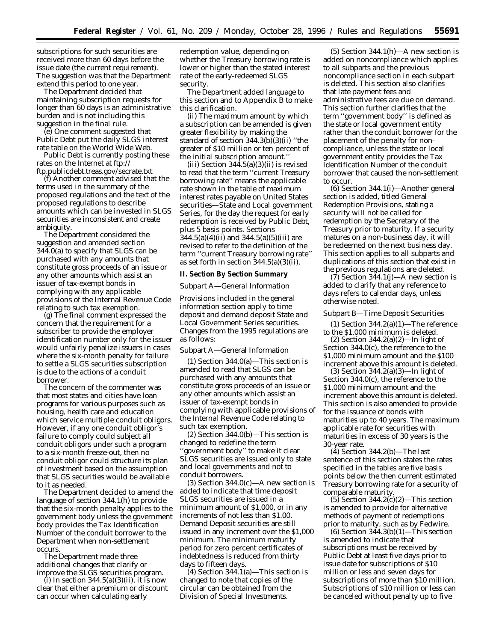subscriptions for such securities are received more than 60 days before the issue date (the current requirement). The suggestion was that the Department extend this period to one year.

The Department decided that maintaining subscription requests for longer than 60 days is an administrative burden and is not including this suggestion in the final rule.

(e) One comment suggested that Public Debt put the daily SLGS interest rate table on the World Wide Web.

Public Debt is currently posting these rates on the Internet at ftp:// ftp.publicdebt.treas.gov/secrate.txt

(f) Another comment advised that the terms used in the summary of the proposed regulations and the text of the proposed regulations to describe amounts which can be invested in SLGS securities are inconsistent and create ambiguity.

The Department considered the suggestion and amended section 344.0(a) to specify that SLGS can be purchased with any amounts that constitute gross proceeds of an issue or any other amounts which assist an issuer of tax-exempt bonds in complying with any applicable provisions of the Internal Revenue Code relating to such tax exemption.

(g) The final comment expressed the concern that the requirement for a subscriber to provide the employer identification number only for the issuer would unfairly penalize issuers in cases where the six-month penalty for failure to settle a SLGS securities subscription is due to the actions of a conduit borrower.

The concern of the commenter was that most states and cities have loan programs for various purposes such as housing, health care and education which service multiple conduit obligors. However, if any one conduit obligor's failure to comply could subject all conduit obligors under such a program to a six-month freeze-out, then no conduit obligor could structure its plan of investment based on the assumption that SLGS securities would be available to it as needed.

The Department decided to amend the language of section 344.1(h) to provide that the six-month penalty applies to the government body unless the government body provides the Tax Identification Number of the conduit borrower to the Department when non-settlement occurs.

The Department made three additional changes that clarify or improve the SLGS securities program.

 $(i)$  In section 344.5(a)(3)(ii), it is now clear that either a premium or discount can occur when calculating early

redemption value, depending on whether the Treasury borrowing rate is lower or higher than the stated interest rate of the early-redeemed SLGS security.

The Department added language to this section and to Appendix B to make this clarification.

(ii) The maximum amount by which a subscription can be amended is given greater flexibility by making the standard of section 344.3(b)(3)(ii) ''the greater of \$10 million or ten percent of the initial subscription amount.''

(iii) Section  $344.5(a)(3)(ii)$  is revised to read that the term ''current Treasury borrowing rate'' means the applicable rate shown in the table of maximum interest rates payable on United States securities—State and Local government Series, for the day the request for early redemption is received by Public Debt, plus *5 basis points*. Sections 344.5(a)(4)(ii) and 344.5(a)(5)(iii) are revised to refer to the definition of the term ''current Treasury borrowing rate'' as set forth in section  $344.5(a)(3)(ii)$ .

**II. Section By Section Summary**

*Subpart A—General Information*

Provisions included in the general information section apply to time deposit and demand deposit State and Local Government Series securities. Changes from the 1995 regulations are as follows:

#### Subpart A—General Information

(1) Section 344.0(a)—This section is amended to read that SLGS can be purchased with any amounts that constitute gross proceeds of an issue or any other amounts which assist an issuer of tax-exempt bonds in complying with applicable provisions of the Internal Revenue Code relating to such tax exemption.

(2) Section 344.0(b)—This section is changed to redefine the term ''government body'' to make it clear SLGS securities are issued only to state and local governments and not to conduit borrowers.

 $(3)$  Section 344.0 $(c)$ —A new section is added to indicate that time deposit SLGS securities are issued in a minimum amount of \$1,000, or in any increments of not less than \$1.00. Demand Deposit securities are still issued in any increment over the \$1,000 minimum. The minimum maturity period for zero percent certificates of indebtedness is reduced from thirty days to fifteen days.

(4) Section 344.1(a)—This section is changed to note that copies of the circular can be obtained from the Division of Special Investments.

 $(5)$  Section 344.1(h)—A new section is added on noncompliance which applies to all subparts and the previous noncompliance section in each subpart is deleted. This section also clarifies that late payment fees and administrative fees are due on demand. This section further clarifies that the term ''government body'' is defined as the state or local government entity rather than the conduit borrower for the placement of the penalty for noncompliance, unless the state or local government entity provides the Tax Identification Number of the conduit borrower that caused the non-settlement to occur.

(6) Section 344.1(i)—Another general section is added, titled General Redemption Provisions, stating a security will not be called for redemption by the Secretary of the Treasury prior to maturity. If a security matures on a non-business day, it will be redeemed on the next business day. This section applies to all subparts and duplications of this section that exist in the previous regulations are deleted.

(7) Section 344.1(j)—A new section is added to clarify that any reference to days refers to calendar days, unless otherwise noted.

#### Subpart B—Time Deposit Securities

(1) Section 344.2(a)(1)—The reference to the \$1,000 minimum is deleted.

 $(2)$  Section 344.2(a)(2)—In light of Section 344.0(c), the reference to the \$1,000 minimum amount and the \$100 increment above this amount is deleted.

(3) Section 344.2(a)(3)—In light of Section 344.0(c), the reference to the \$1,000 minimum amount and the increment above this amount is deleted. This section is also amended to provide for the issuance of bonds with maturities up to 40 years. The maximum applicable rate for securities with maturities in excess of 30 years is the 30-year rate.

 $(4)$  Section 344.2(b)—The last sentence of this section states the rates specified in the tables are five basis points below the then current estimated Treasury borrowing rate for a security of comparable maturity.

 $(5)$  Section 344.2(c)(2)—This section is amended to provide for alternative methods of payment of redemptions prior to maturity, such as by Fedwire.

 $(6)$  Section 344.3 $(b)(1)$ —This section is amended to indicate that subscriptions must be received by Public Debt at least five days prior to issue date for subscriptions of \$10 million or less and seven days for subscriptions of more than \$10 million. Subscriptions of \$10 million or less can be canceled without penalty up to five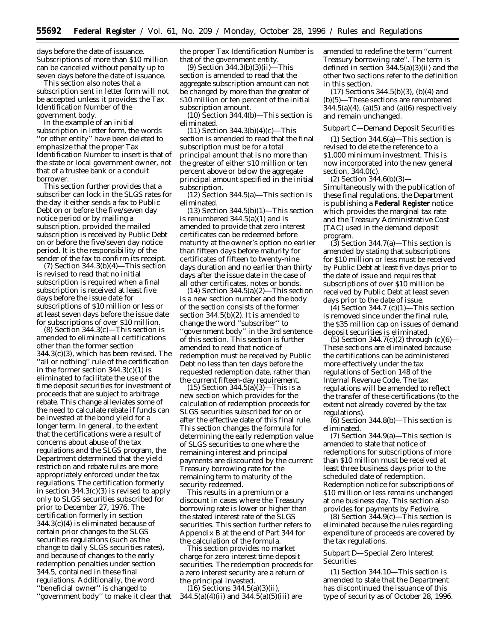days before the date of issuance. Subscriptions of more than \$10 million can be canceled without penalty up to seven days before the date of issuance.

This section also notes that a subscription sent in letter form will not be accepted unless it provides the Tax Identification Number of the government body.

In the example of an initial subscription in letter form, the words ''or other entity'' have been deleted to emphasize that the proper Tax Identification Number to insert is that of the state or local government owner, not that of a trustee bank or a conduit borrower.

This section further provides that a subscriber can lock in the SLGS rates for the day it either sends a fax to Public Debt on or before the five/seven day notice period or by mailing a subscription, provided the mailed subscription is received by Public Debt on or before the five/seven day notice period. It is the responsibility of the sender of the fax to confirm its receipt.

(7) Section 344.3(b)(4)—This section is revised to read that no initial subscription is required when a final subscription is received at least five days before the issue date for subscriptions of \$10 million or less or at least seven days before the issue date for subscriptions of over \$10 million.

(8) Section 344.3(c)—This section is amended to eliminate all certifications other than the former section 344.3(c)(3), which has been revised. The ''all or nothing'' rule of the certification in the former section  $344.3(c)(1)$  is eliminated to facilitate the use of the time deposit securities for investment of proceeds that are subject to arbitrage rebate. This change alleviates some of the need to calculate rebate if funds can be invested at the bond yield for a longer term. In general, to the extent that the certifications were a result of concerns about abuse of the tax regulations and the SLGS program, the Department determined that the yield restriction and rebate rules are more appropriately enforced under the tax regulations. The certification formerly in section 344.3(c)(3) is revised to apply only to SLGS securities subscribed for prior to December 27, 1976. The certification formerly in section 344.3(c)(4) is eliminated because of certain prior changes to the SLGS securities regulations (such as the change to daily SLGS securities rates), and because of changes to the early redemption penalties under section 344.5, contained in these final regulations. Additionally, the word ''beneficial owner'' is changed to ''government body'' to make it clear that

the proper Tax Identification Number is that of the government entity.

(9) Section 344.3(b)(3)(ii)—This section is amended to read that the aggregate subscription amount can not be changed by more than the greater of \$10 million or ten percent of the initial subscription amount.

 $(10)$  Section 344.4(b)—This section is eliminated.

(11) Section 344.3(b)(4)(c)—This section is amended to read that the final subscription must be for a total principal amount that is no more than the greater of either \$10 million or ten percent above or below the aggregate principal amount specified in the initial subscription.

 $(12)$  Section 344.5(a)—This section is eliminated.

(13) Section 344.5(b)(1)—This section is renumbered 344.5(a)(1) and is amended to provide that zero interest certificates can be redeemed before maturity at the owner's option no earlier than fifteen days before maturity for certificates of fifteen to twenty-nine days duration and no earlier than thirty days after the issue date in the case of all other certificates, notes or bonds.

 $(14)$  Section 344.5(a) $(2)$ —This section is a new section number and the body of the section consists of the former section 344.5(b)(2). It is amended to change the word ''subscriber'' to ''government body'' in the 3rd sentence of this section. This section is further amended to read that notice of redemption must be received by Public Debt no less than ten days before the requested redemption date, rather than the current fifteen-day requirement.

(15) Section 344.5(a)(3)—This is a new section which provides for the calculation of redemption proceeds for SLGS securities subscribed for on or after the effective date of this final rule. This section changes the formula for determining the early redemption value of SLGS securities to one where the remaining interest and principal payments are discounted by the current Treasury borrowing rate for the remaining term to maturity of the security redeemed.

This results in a premium or a discount in cases where the Treasury borrowing rate is lower or higher than the stated interest rate of the SLGS securities. This section further refers to Appendix B at the end of Part 344 for the calculation of the formula.

This section provides no market charge for zero interest time deposit securities. The redemption proceeds for a zero interest security are a return of the principal invested.

 $(16)$  Sections 344.5(a)(3)(ii), 344.5(a)(4)(ii) and 344.5(a)(5)(iii) are amended to redefine the term ''current Treasury borrowing rate''. The term is defined in section 344.5(a)(3)(ii) and the other two sections refer to the definition in this section.

(17) Sections 344.5(b)(3), (b)(4) and (b)(5)—These sections are renumbered  $344.5(a)(4)$ ,  $(a)(5)$  and  $(a)(6)$  respectively and remain unchanged.

## Subpart C—Demand Deposit Securities

(1) Section 344.6(a)—This section is revised to delete the reference to a \$1,000 minimum investment. This is now incorporated into the new general section, 344.0(c).

(2) Section 344.6(b)(3)— Simultaneously with the publication of these final regulations, the Department is publishing a **Federal Register** notice which provides the marginal tax rate and the Treasury Administrative Cost (TAC) used in the demand deposit program.

(3) Section 344.7(a)—This section is amended by stating that subscriptions for \$10 million or less must be received by Public Debt at least five days prior to the date of issue and requires that subscriptions of over \$10 million be received by Public Debt at least seven days prior to the date of issue.

(4) Section 344.7 (c) $(1)$ —This section is removed since under the final rule, the \$35 million cap on issues of demand deposit securities is eliminated.

 $(5)$  Section 344.7(c)(2) through (c)(6)— These sections are eliminated because the certifications can be administered more effectively under the tax regulations of Section 148 of the Internal Revenue Code. The tax regulations will be amended to reflect the transfer of these certifications (to the extent not already covered by the tax regulations).

(6) Section 344.8(b)—This section is eliminated.

(7) Section 344.9(a)—This section is amended to state that notice of redemptions for subscriptions of more than \$10 million must be received at least three business days prior to the scheduled date of redemption. Redemption notice for subscriptions of \$10 million or less remains unchanged at one business day. This section also provides for payments by Fedwire.

(8) Section 344.9(c)—This section is eliminated because the rules regarding expenditure of proceeds are covered by the tax regulations.

## Subpart D—Special Zero Interest Securities

(1) Section 344.10—This section is amended to state that the Department has discontinued the issuance of this type of security as of October 28, 1996.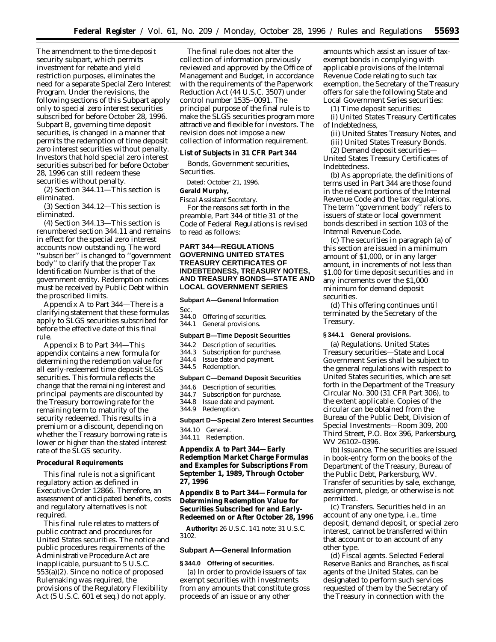The amendment to the time deposit security subpart, which permits investment for rebate and yield restriction purposes, eliminates the need for a separate Special Zero Interest Program. Under the revisions, the following sections of this Subpart apply only to special zero interest securities subscribed for before October 28, 1996. Subpart B, governing time deposit securities, is changed in a manner that permits the redemption of time deposit zero interest securities without penalty. Investors that hold special zero interest securities subscribed for before October 28, 1996 can still redeem these securities without penalty.

(2) Section 344.11—This section is eliminated.

(3) Section 344.12—This section is eliminated.

(4) Section 344.13—This section is renumbered section 344.11 and remains in effect for the special zero interest accounts now outstanding. The word ''subscriber'' is changed to ''government body'' to clarify that the proper Tax Identification Number is that of the government entity. Redemption notices must be received by Public Debt within the proscribed limits.

Appendix A to Part 344—There is a clarifying statement that these formulas apply to SLGS securities subscribed for before the effective date of this final rule.

Appendix B to Part 344—This appendix contains a new formula for determining the redemption value for all early-redeemed time deposit SLGS securities. This formula reflects the change that the remaining interest and principal payments are discounted by the Treasury borrowing rate for the remaining term to maturity of the security redeemed. This results in a premium or a discount, depending on whether the Treasury borrowing rate is lower or higher than the stated interest rate of the SLGS security.

#### **Procedural Requirements**

This final rule is not a significant regulatory action as defined in Executive Order 12866. Therefore, an assessment of anticipated benefits, costs and regulatory alternatives is not required.

This final rule relates to matters of public contract and procedures for United States securities. The notice and public procedures requirements of the Administrative Procedure Act are inapplicable, pursuant to 5 U.S.C. 553(a)(2). Since no notice of proposed Rulemaking was required, the provisions of the Regulatory Flexibility Act (5 U.S.C. 601 *et seq.*) do not apply.

The final rule does not alter the collection of information previously reviewed and approved by the Office of Management and Budget, in accordance with the requirements of the Paperwork Reduction Act (44 U.S.C. 3507) under control number 1535–0091. The principal purpose of the final rule is to make the SLGS securities program more attractive and flexible for investors. The revision does not impose a new collection of information requirement.

**List of Subjects in 31 CFR Part 344**

Bonds, Government securities, Securities.

Dated: October 21, 1996.

**Gerald Murphy,**

*Fiscal Assistant Secretary.* For the reasons set forth in the preamble, Part 344 of title 31 of the Code of Federal Regulations is revised to read as follows:

## **PART 344—REGULATIONS GOVERNING UNITED STATES TREASURY CERTIFICATES OF INDEBTEDNESS, TREASURY NOTES, AND TREASURY BONDS—STATE AND LOCAL GOVERNMENT SERIES**

#### **Subpart A—General Information**

Sec.

- 344.0 Offering of securities.
- 344.1 General provisions.

### **Subpart B—Time Deposit Securities**

- 344.2 Description of securities.<br>344.3 Subscription for purchase
- 344.3 Subscription for purchase.<br>344.4 Issue date and payment.
- Issue date and payment.
- 344.5 Redemption.

#### **Subpart C—Demand Deposit Securities**

- 344.6 Description of securities.<br>344.7 Subscription for purchase
- Subscription for purchase.
- 344.8 Issue date and payment.
- 344.9 Redemption.

### **Subpart D—Special Zero Interest Securities**

- 344.10 General.
- 344.11 Redemption.

**Appendix A to Part 344—Early Redemption Market Charge Formulas and Examples for Subscriptions From September 1, 1989, Through October 27, 1996**

**Appendix B to Part 344—Formula for Determining Redemption Value for Securities Subscribed for and Early-Redeemed on or After October 28, 1996**

**Authority:** 26 U.S.C. 141 note; 31 U.S.C. 3102.

## **Subpart A—General Information**

## **§ 344.0 Offering of securities.**

(a) In order to provide issuers of tax exempt securities with investments from any amounts that constitute gross proceeds of an issue or any other

amounts which assist an issuer of taxexempt bonds in complying with applicable provisions of the Internal Revenue Code relating to such tax exemption, the Secretary of the Treasury offers for sale the following State and Local Government Series securities:

(1) Time deposit securities:

(i) United States Treasury Certificates of Indebtedness,

(ii) United States Treasury Notes, and (iii) United States Treasury Bonds.

(2) Demand deposit securities— United States Treasury Certificates of Indebtedness.

(b) As appropriate, the definitions of terms used in Part 344 are those found in the relevant portions of the Internal Revenue Code and the tax regulations. The term ''government body'' refers to issuers of state or local government bonds described in section 103 of the Internal Revenue Code.

(c) The securities in paragraph (a) of this section are issued in a minimum amount of \$1,000, or in any larger amount, in increments of not less than \$1.00 for time deposit securities and in any increments over the \$1,000 minimum for demand deposit securities.

(d) This offering continues until terminated by the Secretary of the Treasury.

#### **§ 344.1 General provisions.**

(a) *Regulations.* United States Treasury securities—State and Local Government Series shall be subject to the general regulations with respect to United States securities, which are set forth in the Department of the Treasury Circular No. 300 (31 CFR Part 306), to the extent applicable. Copies of the circular can be obtained from the Bureau of the Public Debt, Division of Special Investments—Room 309, 200 Third Street, P.O. Box 396, Parkersburg, WV 26102–0396.

(b) *Issuance.* The securities are issued in book-entry form on the books of the Department of the Treasury, Bureau of the Public Debt, Parkersburg, WV. Transfer of securities by sale, exchange, assignment, pledge, or otherwise is not permitted.

(c) *Transfers.* Securities held in an account of any one type, i.e., time deposit, demand deposit, or special zero interest, cannot be transferred within that account or to an account of any other type.

(d) *Fiscal agents.* Selected Federal Reserve Banks and Branches, as fiscal agents of the United States, can be designated to perform such services requested of them by the Secretary of the Treasury in connection with the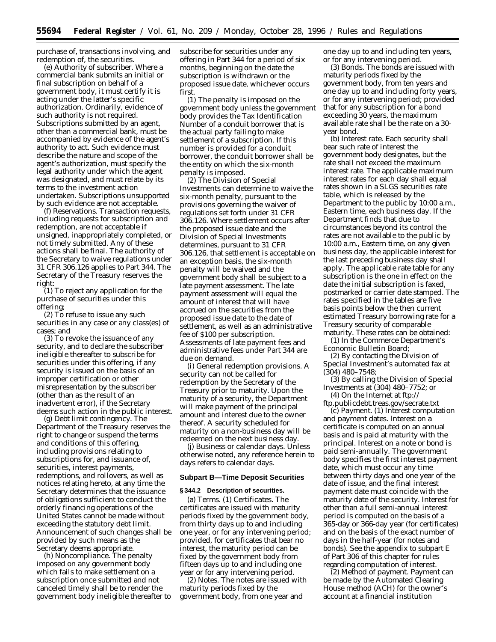purchase of, transactions involving, and redemption of, the securities.

(e) *Authority of subscriber.* Where a commercial bank submits an initial or final subscription on behalf of a government body, it must certify it is acting under the latter's specific authorization. Ordinarily, evidence of such authority is not required. Subscriptions submitted by an agent, other than a commercial bank, must be accompanied by evidence of the agent's authority to act. Such evidence must describe the nature and scope of the agent's authorization, must specify the legal authority under which the agent was designated, and must relate by its terms to the investment action undertaken. Subscriptions unsupported by such evidence are not acceptable.

(f) *Reservations.* Transaction requests, including requests for subscription and redemption, are not acceptable if unsigned, inappropriately completed, or not timely submitted. Any of these actions shall be final. The authority of the Secretary to waive regulations under 31 CFR 306.126 applies to Part 344. The Secretary of the Treasury reserves the right:

(1) To reject any application for the purchase of securities under this offering;

(2) To refuse to issue any such securities in any case or any class(es) of cases; and

(3) To revoke the issuance of any security, and to declare the subscriber ineligible thereafter to subscribe for securities under this offering, if any security is issued on the basis of an improper certification or other misrepresentation by the subscriber (other than as the result of an inadvertent error), if the Secretary deems such action in the public interest.

(g) *Debt limit contingency.* The Department of the Treasury reserves the right to change or suspend the terms and conditions of this offering, including provisions relating to subscriptions for, and issuance of, securities, interest payments, redemptions, and rollovers, as well as notices relating hereto, at any time the Secretary determines that the issuance of obligations sufficient to conduct the orderly financing operations of the United States cannot be made without exceeding the statutory debt limit. Announcement of such changes shall be provided by such means as the Secretary deems appropriate.

(h) *Noncompliance.* The penalty imposed on any government body which fails to make settlement on a subscription once submitted and not canceled timely shall be to render the government body ineligible thereafter to subscribe for securities under any offering in Part 344 for a period of six months, beginning on the date the subscription is withdrawn or the proposed issue date, whichever occurs first.

(1) The penalty is imposed on the government body unless the government body provides the Tax Identification Number of a conduit borrower that is the actual party failing to make settlement of a subscription. If this number is provided for a conduit borrower, the conduit borrower shall be the entity on which the six-month penalty is imposed.

(2) The Division of Special Investments can determine to waive the six-month penalty, pursuant to the provisions governing the waiver of regulations set forth under 31 CFR 306.126. Where settlement occurs after the proposed issue date and the Division of Special Investments determines, pursuant to 31 CFR 306.126, that settlement is acceptable on an exception basis, the six-month penalty will be waived and the government body shall be subject to a late payment assessment. The late payment assessment will equal the amount of interest that will have accrued on the securities from the proposed issue date to the date of settlement, as well as an administrative fee of \$100 per subscription. Assessments of late payment fees and administrative fees under Part 344 are due on demand.

(i) *General redemption provisions.* A security can not be called for redemption by the Secretary of the Treasury prior to maturity. Upon the maturity of a security, the Department will make payment of the principal amount and interest due to the owner thereof. A security scheduled for maturity on a non-business day will be redeemed on the next business day.

(j) *Business or calendar days.* Unless otherwise noted, any reference herein to days refers to calendar days.

### **Subpart B—Time Deposit Securities**

#### **§ 344.2 Description of securities.**

(a) *Terms.* (1) *Certificates.* The certificates are issued with maturity periods fixed by the government body, from thirty days up to and including one year, or for any intervening period; provided, for certificates that bear no interest, the maturity period can be fixed by the government body from fifteen days up to and including one year or for any intervening period.

(2) *Notes.* The notes are issued with maturity periods fixed by the government body, from one year and

one day up to and including ten years, or for any intervening period.

(3) *Bonds.* The bonds are issued with maturity periods fixed by the government body, from ten years and one day up to and including forty years, or for any intervening period; provided that for any subscription for a bond exceeding 30 years, the maximum available rate shall be the rate on a 30 year bond.

(b) *Interest rate.* Each security shall bear such rate of interest the government body designates, but the rate shall not exceed the maximum interest rate. The applicable maximum interest rates for each day shall equal rates shown in a SLGS securities rate table, which is released by the Department to the public by 10:00 a.m., Eastern time, each business day. If the Department finds that due to circumstances beyond its control the rates are not available to the public by 10:00 a.m., Eastern time, on any given business day, the applicable interest for the last preceding business day shall apply. The applicable rate table for any subscription is the one in effect on the date the initial subscription is faxed, postmarked or carrier date stamped. The rates specified in the tables are five basis points below the then current estimated Treasury borrowing rate for a Treasury security of comparable maturity. These rates can be obtained:

(1) In the Commerce Department's Economic Bulletin Board;

(2) By contacting the Division of Special Investment's automated fax at (304) 480–7548;

(3) By calling the Division of Special Investments at (304) 480–7752; or

(4) On the Internet at ftp:// ftp.publicdebt.treas.gov/secrate.txt

(c) *Payment.* (1) Interest computation and payment dates. Interest on a certificate is computed on an annual basis and is paid at maturity with the principal. Interest on a note or bond is paid semi-annually. The government body specifies the first interest payment date, which must occur any time between thirty days and one year of the date of issue, and the final interest payment date must coincide with the maturity date of the security. Interest for other than a full semi-annual interest period is computed on the basis of a 365-day or 366-day year (for certificates) and on the basis of the exact number of days in the half-year (for notes and bonds). See the appendix to subpart E of Part 306 of this chapter for rules regarding computation of interest.

(2) *Method of payment.* Payment can be made by the Automated Clearing House method (ACH) for the owner's account at a financial institution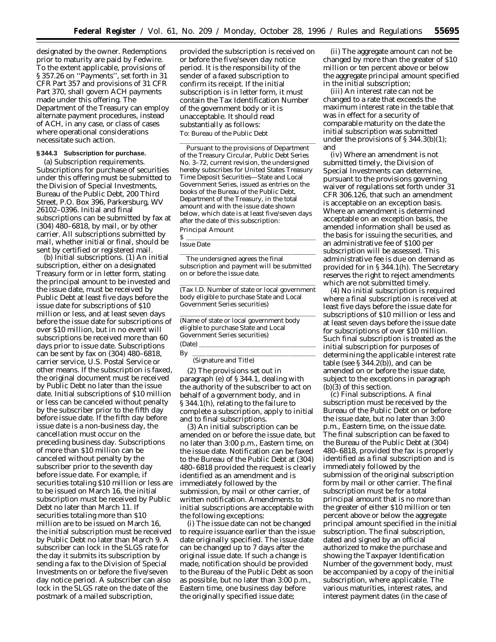designated by the owner. Redemptions prior to maturity are paid by Fedwire. To the extent applicable, provisions of § 357.26 on ''Payments'', set forth in 31 CFR Part 357 and provisions of 31 CFR Part 370, shall govern ACH payments made under this offering. The Department of the Treasury can employ alternate payment procedures, instead of ACH, in any case, or class of cases where operational considerations necessitate such action.

## **§ 344.3 Subscription for purchase.**

(a) *Subscription requirements.* Subscriptions for purchase of securities under this offering must be submitted to the Division of Special Investments, Bureau of the Public Debt, 200 Third Street, P.O. Box 396, Parkersburg, WV 26102–0396. Initial and final subscriptions can be submitted by fax at (304) 480–6818, by mail, or by other carrier. All subscriptions submitted by mail, whether initial or final, should be sent by certified or registered mail.

(b) *Initial subscriptions.* (1) An initial subscription, either on a designated Treasury form or in letter form, stating the principal amount to be invested and the issue date, must be received by Public Debt at least five days before the issue date for subscriptions of \$10 million or less, and at least seven days before the issue date for subscriptions of over \$10 million, but in no event will subscriptions be received more than 60 days prior to issue date. Subscriptions can be sent by fax on (304) 480–6818, carrier service, U.S. Postal Service or other means. If the subscription is faxed, the original document must be received by Public Debt no later than the issue date. Initial subscriptions of \$10 million or less can be canceled without penalty by the subscriber prior to the fifth day before issue date. If the fifth day before issue date is a non-business day, the cancellation must occur on the preceding business day. Subscriptions of more than \$10 million can be canceled without penalty by the subscriber prior to the seventh day before issue date. For example, if securities totaling \$10 million or less are to be issued on March 16, the initial subscription must be received by Public Debt no later than March 11. If securities totaling more than \$10 million are to be issued on March 16, the initial subscription must be received by Public Debt no later than March 9. A subscriber can lock in the SLGS rate for the day it submits its subscription by sending a fax to the Division of Special Investments on or before the five/seven day notice period. A subscriber can also lock in the SLGS rate on the date of the postmark of a mailed subscription,

provided the subscription is received on or before the five/seven day notice period. It is the responsibility of the sender of a faxed subscription to confirm its receipt. If the initial subscription is in letter form, it must contain the Tax Identification Number of the government body or it is unacceptable. It should read substantially as follows: To: Bureau of the Public Debt

llille and a state of the state of the state of the state of the state of the state of the state of the state o Pursuant to the provisions of Department of the Treasury Circular, Public Debt Series No. 3–72, current revision, the undersigned hereby subscribes for United States Treasury Time Deposit Securities—State and Local Government Series, issued as entries on the books of the Bureau of the Public Debt, Department of the Treasury, in the total amount and with the issue date shown below, which date is at least five/seven days after the date of this subscription:

Principal Amount \$ llllllllllllllllllll

## Issue Date

llille i den stats av den stats av den stats av den stats av den stats av den stats av den stats av den stats The undersigned agrees the final subscription and payment will be submitted on or before the issue date.

llillla sanna ann an t-ainm an t-ainm an t-ainm an t-ainm an t-ainm an t-ainm an t-ainm an t-ainm an t-ainm an (Tax I.D. Number of state or local government body eligible to purchase State and Local Government Series securities)

llille and a state of the state of the state of the state of the state of the state of the state of the state o

(Name of state or local government body eligible to purchase State and Local Government Series securities)  $(Date)$   $\qquad \qquad$ 

By <u>extending the set of  $\frac{1}{2}$ </u>

(Signature and Title)

(2) The provisions set out in paragraph (e) of § 344.1, dealing with the authority of the subscriber to act on behalf of a government body, and in § 344.1(h), relating to the failure to complete a subscription, apply to initial and to final subscriptions.

(3) An initial subscription can be amended on or before the issue date, but no later than 3:00 p.m., Eastern time, on the issue date. Notification can be faxed to the Bureau of the Public Debt at (304) 480–6818 provided the request is clearly identified as an amendment and is immediately followed by the submission, by mail or other carrier, of written notification. Amendments to initial subscriptions are acceptable with the following exceptions:

(i) The issue date can not be changed to require issuance earlier than the issue date originally specified. The issue date can be changed up to 7 days after the original issue date. If such a change is made, notification should be provided to the Bureau of the Public Debt as soon as possible, but no later than 3:00 p.m., Eastern time, one business day before the originally specified issue date;

(ii) The aggregate amount can not be changed by more than the greater of \$10 million or ten percent above or below the aggregate principal amount specified in the initial subscription;

(iii) An interest rate can not be changed to a rate that exceeds the maximum interest rate in the table that was in effect for a security of comparable maturity on the date the initial subscription was submitted under the provisions of  $\S 344.3(b)(1)$ ; and

(iv) Where an amendment is not submitted timely, the Division of Special Investments can determine, pursuant to the provisions governing waiver of regulations set forth under 31 CFR 306.126, that such an amendment is acceptable on an exception basis. Where an amendment is determined acceptable on an exception basis, the amended information shall be used as the basis for issuing the securities, and an administrative fee of \$100 per subscription will be assessed. This administrative fee is due on demand as provided for in § 344.1(h). The Secretary reserves the right to reject amendments which are not submitted timely.

(4) No initial subscription is required where a final subscription is received at least five days before the issue date for subscriptions of \$10 million or less and at least seven days before the issue date for subscriptions of over \$10 million. Such final subscription is treated as the initial subscription for purposes of determining the applicable interest rate table (see § 344.2(b)), and can be amended on or before the issue date, subject to the exceptions in paragraph (b)(3) of this section.

(c) *Final subscriptions*. A final subscription must be received by the Bureau of the Public Debt on or before the issue date, but no later than 3:00 p.m., Eastern time, on the issue date. The final subscription can be faxed to the Bureau of the Public Debt at (304) 480–6818, provided the fax is properly identified as a final subscription and is immediately followed by the submission of the original subscription form by mail or other carrier. The final subscription must be for a total principal amount that is no more than the greater of either \$10 million or ten percent above or below the aggregate principal amount specified in the initial subscription. The final subscription, dated and signed by an official authorized to make the purchase and showing the Taxpayer Identification Number of the government body, must be accompanied by a copy of the initial subscription, where applicable. The various maturities, interest rates, and interest payment dates (in the case of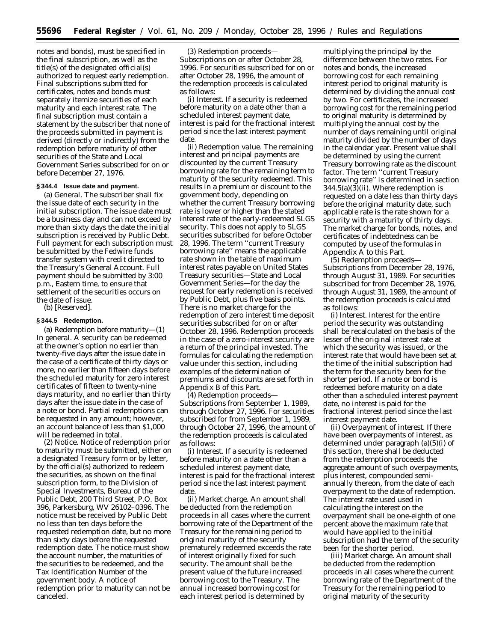notes and bonds), must be specified in the final subscription, as well as the title(s) of the designated official(s) authorized to request early redemption. Final subscriptions submitted for certificates, notes and bonds must separately itemize securities of each maturity and each interest rate. The final subscription must contain a statement by the subscriber that none of the proceeds submitted in payment is derived (directly or indirectly) from the redemption before maturity of other securities of the State and Local Government Series subscribed for on or before December 27, 1976.

## **§ 344.4 Issue date and payment.**

(a) *General*. The subscriber shall fix the issue date of each security in the initial subscription. The issue date must be a business day and can not exceed by more than sixty days the date the initial subscription is received by Public Debt. Full payment for each subscription must be submitted by the Fedwire funds transfer system with credit directed to the Treasury's General Account. Full payment should be submitted by 3:00 p.m., Eastern time, to ensure that settlement of the securities occurs on the date of issue. (b) [Reserved].

# **§ 344.5 Redemption.**

(a) *Redemption before maturity—*(1) *In general*. A security can be redeemed at the owner's option no earlier than twenty-five days after the issue date in the case of a certificate of thirty days or more, no earlier than fifteen days before the scheduled maturity for zero interest certificates of fifteen to twenty-nine days maturity, and no earlier than thirty days after the issue date in the case of a note or bond. Partial redemptions can be requested in any amount; however, an account balance of less than \$1,000 will be redeemed in total.

(2) *Notice*. Notice of redemption prior to maturity must be submitted, either on a designated Treasury form or by letter, by the official(s) authorized to redeem the securities, as shown on the final subscription form, to the Division of Special Investments, Bureau of the Public Debt, 200 Third Street, P.O. Box 396, Parkersburg, WV 26102–0396. The notice must be received by Public Debt no less than ten days before the requested redemption date, but no more than sixty days before the requested redemption date. The notice must show the account number, the maturities of the securities to be redeemed, and the Tax Identification Number of the government body. A notice of redemption prior to maturity can not be canceled.

(3) *Redemption proceeds— Subscriptions on or after October 28, 1996*. For securities subscribed for on or after October 28, 1996, the amount of the redemption proceeds is calculated as follows:

(i) *Interest*. If a security is redeemed before maturity on a date other than a scheduled interest payment date, interest is paid for the fractional interest period since the last interest payment date

(ii) *Redemption value*. The remaining interest and principal payments are discounted by the current Treasury borrowing rate for the remaining term to maturity of the security redeemed. This results in a premium or discount to the government body, depending on whether the current Treasury borrowing rate is lower or higher than the stated interest rate of the early-redeemed SLGS security. This does not apply to SLGS securities subscribed for before October 28, 1996. The term ''current Treasury borrowing rate'' means the applicable rate shown in the table of maximum interest rates payable on United States Treasury securities—State and Local Government Series—for the day the request for early redemption is received by Public Debt, plus five basis points. There is no market charge for the redemption of zero interest time deposit securities subscribed for on or after October 28, 1996. Redemption proceeds in the case of a zero-interest security are a return of the principal invested. The formulas for calculating the redemption value under this section, including examples of the determination of premiums and discounts are set forth in Appendix B of this Part.

(4) *Redemption proceeds— Subscriptions from September 1, 1989, through October 27, 1996*. For securities subscribed for from September 1, 1989, through October 27, 1996, the amount of the redemption proceeds is calculated as follows:

(i) *Interest*. If a security is redeemed before maturity on a date other than a scheduled interest payment date, interest is paid for the fractional interest period since the last interest payment date.

(ii) *Market charge*. An amount shall be deducted from the redemption proceeds in all cases where the current borrowing rate of the Department of the Treasury for the remaining period to original maturity of the security prematurely redeemed exceeds the rate of interest originally fixed for such security. The amount shall be the present value of the future increased borrowing cost to the Treasury. The annual increased borrowing cost for each interest period is determined by

multiplying the principal by the difference between the two rates. For notes and bonds, the increased borrowing cost for each remaining interest period to original maturity is determined by dividing the annual cost by two. For certificates, the increased borrowing cost for the remaining period to original maturity is determined by multiplying the annual cost by the number of days remaining until original maturity divided by the number of days in the calendar year. Present value shall be determined by using the current Treasury borrowing rate as the discount factor. The term ''current Treasury borrowing rate'' is determined in section 344.5(a)(3)(ii). Where redemption is requested on a date less than thirty days before the original maturity date, such applicable rate is the rate shown for a security with a maturity of thirty days. The market charge for bonds, notes, and certificates of indebtedness can be computed by use of the formulas in Appendix A to this Part.

(5) *Redemption proceeds— Subscriptions from December 28, 1976, through August 31, 1989*. For securities subscribed for from December 28, 1976, through August 31, 1989, the amount of the redemption proceeds is calculated as follows:

(i) *Interest*. Interest for the entire period the security was outstanding shall be recalculated on the basis of the lesser of the original interest rate at which the security was issued, or the interest rate that would have been set at the time of the initial subscription had the term for the security been for the shorter period. If a note or bond is redeemed before maturity on a date other than a scheduled interest payment date, no interest is paid for the fractional interest period since the last interest payment date.

(ii) *Overpayment of interest*. If there have been overpayments of interest, as determined under paragraph (a)(5)(i) of this section, there shall be deducted from the redemption proceeds the aggregate amount of such overpayments, plus interest, compounded semiannually thereon, from the date of each overpayment to the date of redemption. The interest rate used used in calculating the interest on the overpayment shall be one-eighth of one percent above the maximum rate that would have applied to the initial subscription had the term of the security been for the shorter period.

(iii) *Market charge*. An amount shall be deducted from the redemption proceeds in all cases where the current borrowing rate of the Department of the Treasury for the remaining period to original maturity of the security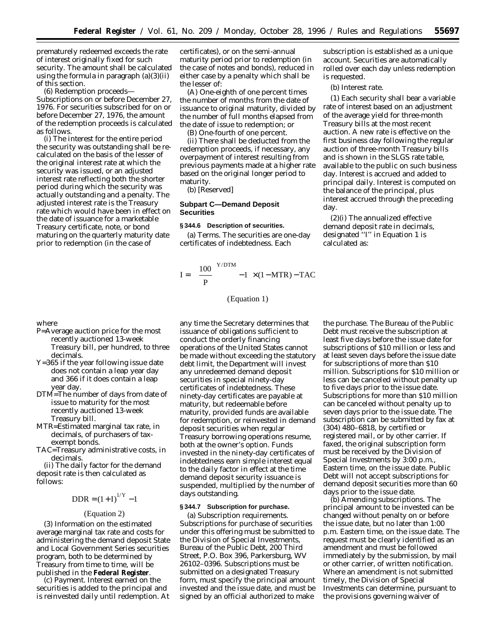prematurely redeemed exceeds the rate of interest originally fixed for such security. The amount shall be calculated using the formula in paragraph (a)(3)(ii) of this section.

(6) *Redemption proceeds— Subscriptions on or before December 27, 1976*. For securities subscribed for on or before December 27, 1976, the amount of the redemption proceeds is calculated as follows.

(i) The interest for the entire period the security was outstanding shall be recalculated on the basis of the lesser of the original interest rate at which the security was issued, or an adjusted interest rate reflecting both the shorter period during which the security was actually outstanding and a penalty. The adjusted interest rate is the Treasury rate which would have been in effect on the date of issuance for a marketable Treasury certificate, note, or bond maturing on the quarterly maturity date prior to redemption (in the case of

where

- P=Average auction price for the most recently auctioned 13-week Treasury bill, per hundred, to three decimals.
- Y=365 if the year following issue date does not contain a leap year day and 366 if it does contain a leap year day.
- DTM=The number of days from date of issue to maturity for the most recently auctioned 13-week Treasury bill.
- MTR=Estimated marginal tax rate, in decimals, of purchasers of taxexempt bonds.
- TAC=Treasury administrative costs, in decimals.

(ii) The daily factor for the demand deposit rate is then calculated as follows:

$$
DDR = (1 + I)^{1/Y} - 1
$$

#### (Equation 2)

(3) Information on the estimated average marginal tax rate and costs for administering the demand deposit State and Local Government Series securities program, both to be determined by Treasury from time to time, will be published in the **Federal Register**.

(c) *Payment.* Interest earned on the securities is added to the principal and is reinvested daily until redemption. At

certificates), or on the semi-annual maturity period prior to redemption (in the case of notes and bonds), reduced in either case by a penalty which shall be the lesser of:

(A) One-eighth of one percent times the number of months from the date of issuance to original maturity, divided by the number of full months elapsed from the date of issue to redemption; or

(B) One-fourth of one percent.

(ii) There shall be deducted from the redemption proceeds, if necessary, any overpayment of interest resulting from previous payments made at a higher rate based on the original longer period to maturity.

(b) [Reserved]

## **Subpart C—Demand Deposit Securities**

## **§ 344.6 Description of securities.**

(a) *Terms.* The securities are one-day certificates of indebtedness. Each

$$
I = \left[ \left( \frac{100}{P} \right)^{Y/DTM} - 1 \right] \times (1 - MTR) - TAC
$$

(Equation 1)

any time the Secretary determines that issuance of obligations sufficient to conduct the orderly financing operations of the United States cannot be made without exceeding the statutory debt limit, the Department will invest any unredeemed demand deposit securities in special ninety-day certificates of indebtedness. These ninety-day certificates are payable at maturity, but redeemable before maturity, provided funds are available for redemption, or reinvested in demand deposit securities when regular Treasury borrowing operations resume, both at the owner's option. Funds invested in the ninety-day certificates of indebtedness earn simple interest equal to the daily factor in effect at the time demand deposit security issuance is suspended, multiplied by the number of days outstanding.

## **§ 344.7 Subscription for purchase.**

(a) *Subscription requirements.* Subscriptions for purchase of securities under this offering must be submitted to the Division of Special Investments, Bureau of the Public Debt, 200 Third Street, P.O. Box 396, Parkersburg, WV 26102–0396. Subscriptions must be submitted on a designated Treasury form, must specify the principal amount invested and the issue date, and must be signed by an official authorized to make

subscription is established as a unique account. Securities are automatically rolled over each day unless redemption is requested.

(b) *Interest rate.*

(1) Each security shall bear a variable rate of interest based on an adjustment of the average yield for three-month Treasury bills at the most recent auction. A new rate is effective on the first business day following the regular auction of three-month Treasury bills and is shown in the SLGS rate table, available to the public on such business day. Interest is accrued and added to principal daily. Interest is computed on the balance of the principal, plus interest accrued through the preceding day.

(2)(i) The annualized effective demand deposit rate in decimals, designated ''I'' in Equation 1 is calculated as:

the purchase. The Bureau of the Public Debt must receive the subscription at least five days before the issue date for subscriptions of \$10 million or less and at least seven days before the issue date for subscriptions of more than \$10 million. Subscriptions for \$10 million or less can be canceled without penalty up to five days prior to the issue date. Subscriptions for more than \$10 million can be canceled without penalty up to seven days prior to the issue date. The subscription can be submitted by fax at (304) 480–6818, by certified or registered mail, or by other carrier. If faxed, the original subscription form must be received by the Division of Special Investments by 3:00 p.m., Eastern time, on the issue date. Public Debt will not accept subscriptions for demand deposit securities more than 60 days prior to the issue date.

(b) *Amending subscriptions.* The principal amount to be invested can be changed without penalty on or before the issue date, but no later than 1:00 p.m. Eastern time, on the issue date. The request must be clearly identified as an amendment and must be followed immediately by the submission, by mail or other carrier, of written notification. Where an amendment is not submitted timely, the Division of Special Investments can determine, pursuant to the provisions governing waiver of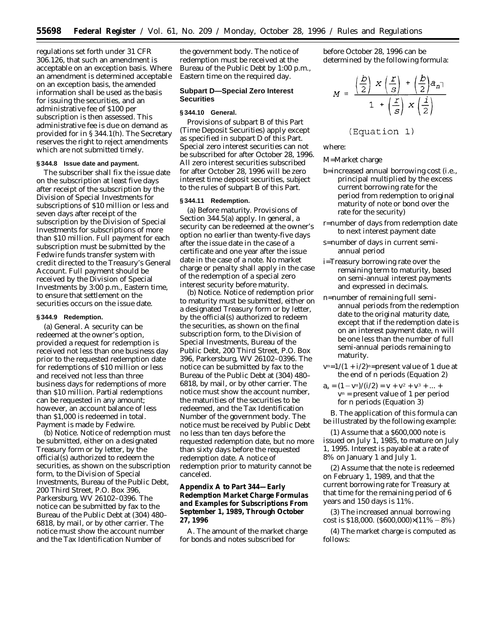regulations set forth under 31 CFR 306.126, that such an amendment is acceptable on an exception basis. Where an amendment is determined acceptable on an exception basis, the amended information shall be used as the basis for issuing the securities, and an administrative fee of \$100 per subscription is then assessed. This administrative fee is due on demand as provided for in § 344.1(h). The Secretary reserves the right to reject amendments which are not submitted timely.

#### **§ 344.8 Issue date and payment.**

The subscriber shall fix the issue date on the subscription at least five days after receipt of the subscription by the Division of Special Investments for subscriptions of \$10 million or less and seven days after receipt of the subscription by the Division of Special Investments for subscriptions of more than \$10 million. Full payment for each subscription must be submitted by the Fedwire funds transfer system with credit directed to the Treasury's General Account. Full payment should be received by the Division of Special Investments by 3:00 p.m., Eastern time, to ensure that settlement on the securities occurs on the issue date.

#### **§ 344.9 Redemption.**

(a) *General.* A security can be redeemed at the owner's option, provided a request for redemption is received not less than one business day prior to the requested redemption date for redemptions of \$10 million or less and received not less than three business days for redemptions of more than \$10 million. Partial redemptions can be requested in any amount; however, an account balance of less than \$1,000 is redeemed in total. Payment is made by Fedwire.

(b) *Notice.* Notice of redemption must be submitted, either on a designated Treasury form or by letter, by the official(s) authorized to redeem the securities, as shown on the subscription form, to the Division of Special Investments, Bureau of the Public Debt, 200 Third Street, P.O. Box 396, Parkersburg, WV 26102–0396. The notice can be submitted by fax to the Bureau of the Public Debt at (304) 480– 6818, by mail, or by other carrier. The notice must show the account number and the Tax Identification Number of

the government body. The notice of redemption must be received at the Bureau of the Public Debt by 1:00 p.m., Eastern time on the required day.

### **Subpart D—Special Zero Interest Securities**

#### **§ 344.10 General.**

Provisions of subpart B of this Part (Time Deposit Securities) apply except as specified in subpart D of this Part. Special zero interest securities can not be subscribed for after October 28, 1996. All zero interest securities subscribed for after October 28, 1996 will be zero interest time deposit securities, subject to the rules of subpart B of this Part.

### **§ 344.11 Redemption.**

(a) *Before maturity.* Provisions of Section 344.5(a) apply. In general, a security can be redeemed at the owner's option no earlier than twenty-five days after the issue date in the case of a certificate and one year after the issue date in the case of a note. No market charge or penalty shall apply in the case of the redemption of a special zero interest security before maturity.

(b) *Notice.* Notice of redemption prior to maturity must be submitted, either on a designated Treasury form or by letter, by the official(s) authorized to redeem the securities, as shown on the final subscription form, to the Division of Special Investments, Bureau of the Public Debt, 200 Third Street, P.O. Box 396, Parkersburg, WV 26102–0396. The notice can be submitted by fax to the Bureau of the Public Debt at (304) 480– 6818, by mail, or by other carrier. The notice must show the account number, the maturities of the securities to be redeemed, and the Tax Identification Number of the government body. The notice must be received by Public Debt no less than ten days before the requested redemption date, but no more than sixty days before the requested redemption date. A notice of redemption prior to maturity cannot be canceled.

**Appendix A to Part 344—Early Redemption Market Charge Formulas and Examples for Subscriptions From September 1, 1989, Through October 27, 1996**

A. The amount of the market charge for bonds and notes subscribed for

before October 28, 1996 can be determined by the following formula:

$$
M = \frac{\left(\frac{b}{2}\right) x \left(\frac{r}{s}\right) + \left(\frac{b}{2}\right) a_n}{1 + \left(\frac{r}{s}\right) x \left(\frac{1}{2}\right)}
$$

## (Equation 1)

where:

M=Market charge

- b=increased annual borrowing cost (i.e., principal multiplied by the excess current borrowing rate for the period from redemption to original maturity of note or bond over the rate for the security)
- r=number of days from redemption date to next interest payment date
- s=number of days in current semiannual period
- i=Treasury borrowing rate over the remaining term to maturity, based on semi-annual interest payments and expressed in decimals.
- n=number of remaining full semiannual periods from the redemption date to the original maturity date, except that if the redemption date is on an interest payment date, n will be one less than the number of full semi-annual periods remaining to maturity.
- $v^n=1/(1 + i/2)^n$ =present value of 1 due at the end of n periods (Equation 2)
- $a_a = (1 v^n)/(i/2) = v + v^2 + v^3 + ... +$  $v<sup>n</sup>$  = present value of 1 per period for n periods (Equation 3)

B. The application of this formula can be illustrated by the following example:

(1) Assume that a \$600,000 note is issued on July 1, 1985, to mature on July 1, 1995. Interest is payable at a rate of 8% on January 1 and July 1.

(2) Assume that the note is redeemed on February 1, 1989, and that the current borrowing rate for Treasury at that time for the remaining period of 6 years and 150 days is 11%.

(3) The increased annual borrowing cost is \$18,000. (\$600,000) $\times$ (11% – 8%)

(4) The market charge is computed as follows: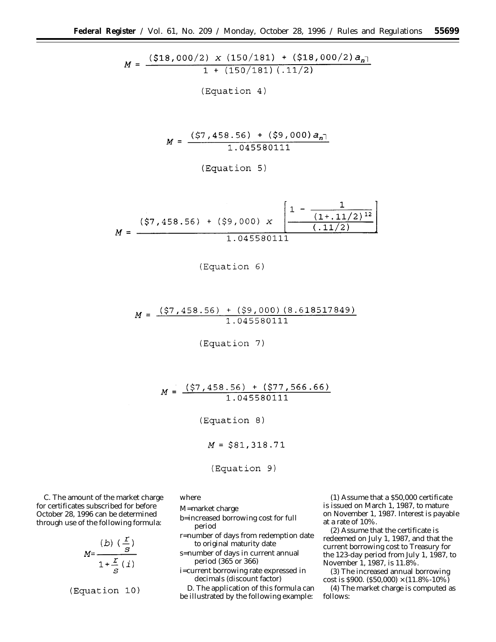$M = \frac{(518,000/2) \times (150/181) + (518,000/2) a_{n}}{1 + (150/181) (.11/2)}$ 

(Equation 4)

$$
M = \frac{(\xi 7, 458.56) + (\xi 9,000) a_{n\bar{1}}}{1.045580111}
$$

(Equation 5)

$$
M = \frac{(57, 458.56) + (59,000) \times \left[ \frac{1 - \frac{1}{(1 + .11/2)^{12}}}{(.11/2)} \right]}{1.045580111}
$$

# $M = \frac{(\$7, 458.56) + (\$9, 000) (8.618517849)}{1.045580111}$

(Equation 7)

 $M = \frac{(\$7, 458.56) + (\$77, 566.66)}{1.045580111}$ 

(Equation 8)

$$
M = $81,318.71
$$

(Equation 9)

C. The amount of the market charge for certificates subscribed for before October 28, 1996 can be determined through use of the following formula:

$$
M = \frac{(b) \left(\frac{r}{s}\right)}{1 + \frac{r}{s} \left(i\right)}
$$

(Equation 10)

where

M=market charge

b=increased borrowing cost for full period

r=number of days from redemption date to original maturity date

s=number of days in current annual period (365 or 366)

i=current borrowing rate expressed in decimals (discount factor)

D. The application of this formula can be illustrated by the following example:

(1) Assume that a \$50,000 certificate is issued on March 1, 1987, to mature on November 1, 1987. Interest is payable at a rate of 10%.

(2) Assume that the certificate is redeemed on July 1, 1987, and that the current borrowing cost to Treasury for the 123-day period from July 1, 1987, to November 1, 1987, is 11.8%.

(3) The increased annual borrowing cost is \$900. (\$50,000)  $\times$  (11.8%-10%)

(4) The market charge is computed as follows: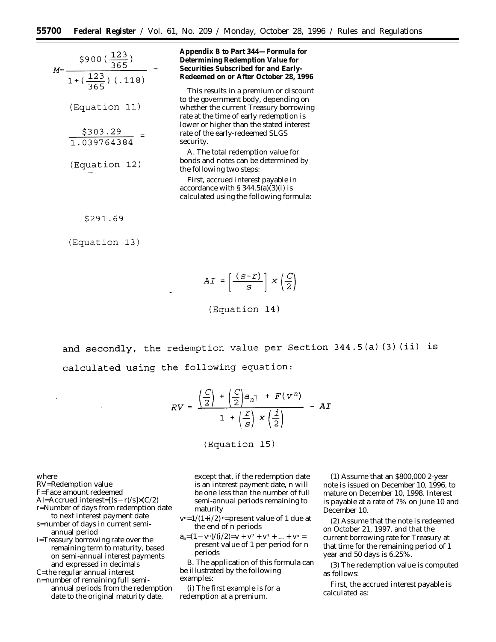| $\frac{$900(\frac{123}{365})}{1+(\frac{123}{365})(.118)}$<br>$M = -$ | Appendix B to Part 344–Formula for<br>Determining Redemption Value for<br>Securities Subscribed for and Early-<br>Redeemed on or After October 28, 1996            |
|----------------------------------------------------------------------|--------------------------------------------------------------------------------------------------------------------------------------------------------------------|
| (Equation 11)                                                        | This results in a premium or discount<br>to the government body, depending on<br>whether the current Treasury borrowing<br>rate at the time of early redemption is |
| $\frac{$303.29}{$1.039764384}$ =                                     | lower or higher than the stated interest<br>rate of the early-redeemed SLGS<br>security.                                                                           |
| (Equation 12)                                                        | A. The total redemption value for<br>bonds and notes can be determined by<br>the following two steps:                                                              |
|                                                                      | First, accrued interest payable in<br>accordance with $\S 344.5(a)(3)(i)$ is<br>calculated using the following formula:                                            |
| \$291.69                                                             |                                                                                                                                                                    |

(Equation 13)

$$
AI = \left\lceil \frac{(s-r)}{s} \right\rceil \ge \left(\frac{C}{2}\right)
$$

(Equation 14)

and secondly, the redemption value per Section 344.5(a)(3)(ii) is calculated using the following equation:

$$
RV = \frac{\left(\frac{C}{2}\right) + \left(\frac{C}{2}\right)a_{n} + F(v^{n})}{1 + \left(\frac{F}{S}\right) \times \left(\frac{1}{2}\right)} - AI
$$

(Equation 15)

where

RV=Redemption value

F=Face amount redeemed

- AI=Accrued interest= $[(s-r)/s] \times (C/2)$
- r=Number of days from redemption date to next interest payment date
- s=number of days in current semiannual period
- i=Treasury borrowing rate over the remaining term to maturity, based on semi-annual interest payments and expressed in decimals

C=the regular annual interest

n=number of remaining full semiannual periods from the redemption date to the original maturity date,

except that, if the redemption date is an interest payment date, n will be one less than the number of full semi-annual periods remaining to maturity

- $v^n=1/(1+i/2)$  n=present value of 1 due at the end of n periods
- $a_a=(1-v_n)/(i/2)=v + v^2 + v^3 + ... + v^n =$ present value of 1 per period for n periods

B. The application of this formula can be illustrated by the following examples:

(i) The first example is for a redemption at a premium.

(1) Assume that an \$800,000 2-year note is issued on December 10, 1996, to mature on December 10, 1998. Interest is payable at a rate of 7% on June 10 and December 10.

(2) Assume that the note is redeemed on October 21, 1997, and that the current borrowing rate for Treasury at that time for the remaining period of 1 year and 50 days is 6.25%.

(3) The redemption value is computed as follows:

First, the accrued interest payable is calculated as: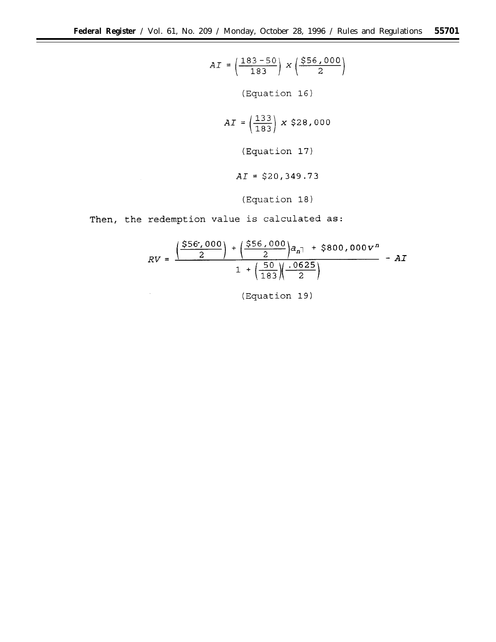$$
AI = \left(\frac{183 - 50}{183}\right) \times \left(\frac{\$56,000}{2}\right)
$$
  
(Equation 16)  

$$
AI = \left(\frac{133}{183}\right) \times \$28,000
$$
  
(Equation 17)  

$$
AI = \$20,349.73
$$
  
(Equation 18)

Then, the redemption value is calculated as:

 $\ddot{\phantom{0}}$ 

$$
RV = \frac{\left(\frac{\$56',000}{2}\right) + \left(\frac{\$56,000}{2}\right)a_{n} + \$800,000v^{n}}{1 + \left(\frac{50}{183}\right)\left(\frac{0.0625}{2}\right)} - AI
$$

(Equation 19)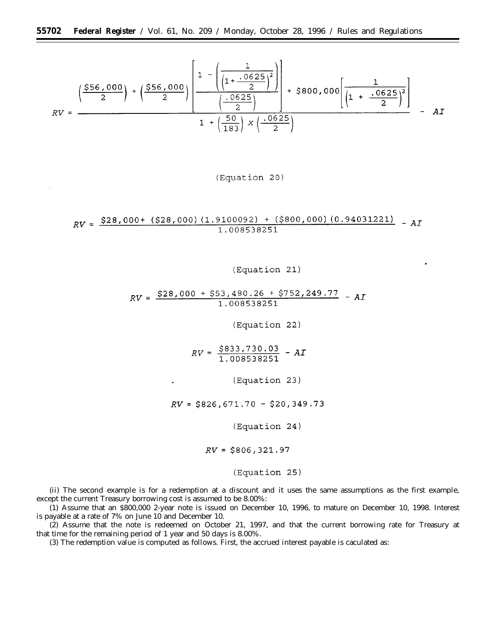$$
RV = \frac{\left(\frac{\$56,000}{2}\right) + \left(\frac{\$56,000}{2}\right)\left[\frac{1 - \left(\frac{1}{\left(1 + \frac{.0625}{2}\right)^2}\right)}{\left(\frac{.0625}{2}\right)}\right] + \$800,000\left[\frac{1}{\left(1 + \frac{.0625}{2}\right)^2}\right]}{-1 + \left(\frac{50}{183}\right) \times \left(\frac{.0625}{2}\right)} - AI
$$

## (Equation 20)

# $RV = \frac{\$28,000+ (\$28,000) (1.9100092) + (\$800,000) (0.94031221)}{1.008538251} - AI$

## (Equation 21)

# $RV = \frac{\$28,000 + \$53,480.26 + \$752,249.77}{1.008538251} - AI$

(Equation 22)

 $RV = \frac{$833,730.03}{1.008538251} - AI$ 

(Equation 23)

 $RV = $826,671.70 - $20,349.73$ 

(Equation 24)

 $RV = $806, 321.97$ 

(Equation 25)

(ii) The second example is for a redemption at a discount and it uses the same assumptions as the first example, except the current Treasury borrowing cost is assumed to be 8.00%:

(1) Assume that an \$800,000 2-year note is issued on December 10, 1996, to mature on December 10, 1998. Interest is payable at a rate of 7% on June 10 and December 10.

(2) Assume that the note is redeemed on October 21, 1997, and that the current borrowing rate for Treasury at that time for the remaining period of 1 year and 50 days is 8.00%.

(3) The redemption value is computed as follows. First, the accrued interest payable is caculated as: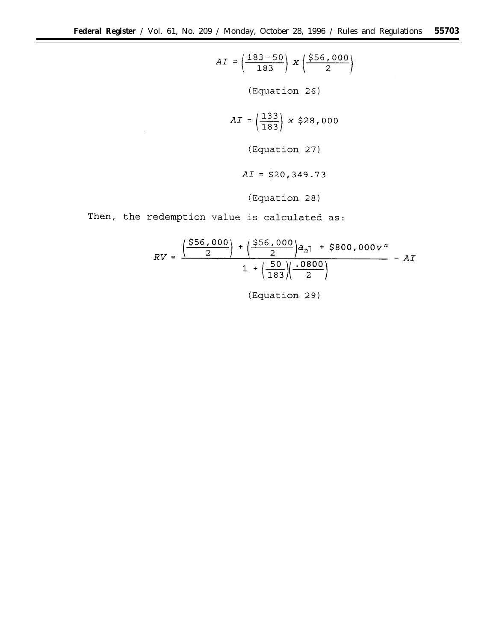$$
AI = \left(\frac{183 - 50}{183}\right) \times \left(\frac{\$56,000}{2}\right)
$$
\n(Equation 26)

\n
$$
AI = \left(\frac{133}{183}\right) \times \$28,000
$$
\n(Equation 27)

\n
$$
AI = \$20,349.73
$$
\n(Equation 28)

\nThen, the redemption value is calculated as:

 $\sim 10$ 

$$
RV = \frac{\left(\frac{\$56,000}{2}\right) + \left(\frac{\$56,000}{2}\right)a_{n} + \$800,000v^{n}}{1 + \left(\frac{50}{183}\right)\left(\frac{0.0800}{2}\right)} - AI
$$

(Equation 29)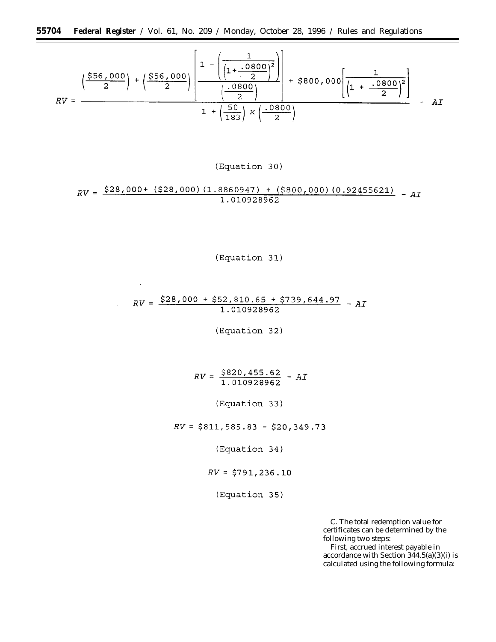$$
RV = \frac{\left(\frac{\$56,000}{2}\right) + \left(\frac{\$56,000}{2}\right)\left[\frac{1 - \left(\frac{1}{\left(1 + \frac{.0800}{2}\right)^2}\right)}{\left(\frac{.0800}{2}\right)}\right] + \$800,000\left[\frac{1}{\left(1 + \frac{.0800}{2}\right)^2}\right]}{1 + \left(\frac{50}{183}\right) \times \left(\frac{.0800}{2}\right)} - AI
$$

(Equation 30)

$$
RV = \frac{\$28,000+ (\$28,000) (1.8860947) + (\$800,000) (0.92455621)}{1.010928962} - AI
$$

(Equation 31)

# $RV = \frac{$28,000 + $52,810.65 + $739,644.97}{1.010928962} - AT$

(Equation 32)

 $RV = \frac{$820,455.62}{1.010928962} - AI$ 

(Equation 33)

 $RV = $811, 585.83 - $20, 349.73$ 

(Equation 34)

 $RV = $791, 236.10$ 

(Equation 35)

C. The total redemption value for certificates can be determined by the following two steps:

First, accrued interest payable in accordance with Section  $344.5(a)(3)(i)$  is calculated using the following formula: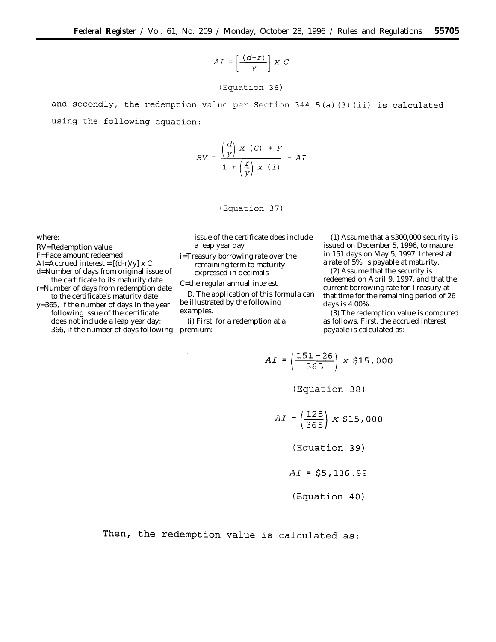$AI = \left[\frac{(d-r)}{y}\right] \times C$ 

(Equation 36)

and secondly, the redemption value per Section 344.5(a)(3)(ii) is calculated using the following equation:

$$
RV = \frac{\left(\frac{d}{y}\right) x (C) + F}{1 + \left(\frac{x}{y}\right) x (i)} - AI
$$

(Equation 37)

where:

RV=Redemption value

F=Face amount redeemed

AI=Accrued interest =  $[(d-r)/y]$  x C

d=Number of days from original issue of the certificate to its maturity date r=Number of days from redemption date

to the certificate's maturity date y=365, if the number of days in the year following issue of the certificate

does not include a leap year day; 366, if the number of days following issue of the certificate does include a leap year day

i=Treasury borrowing rate over the remaining term to maturity, expressed in decimals

C=the regular annual interest

D. The application of this formula can be illustrated by the following examples.

(i) First, for a redemption at a premium:

 $\sim$ 

(1) Assume that a \$300,000 security is issued on December 5, 1996, to mature in 151 days on May 5, 1997. Interest at a rate of 5% is payable at maturity.

(2) Assume that the security is redeemed on April 9, 1997, and that the current borrowing rate for Treasury at that time for the remaining period of 26 days is 4.00%.

(3) The redemption value is computed as follows. First, the accrued interest payable is calculated as:

$$
AI = \left(\frac{151 - 26}{365}\right) \times $15,000
$$
  
(Equation 38)

$$
AI = \left(\frac{125}{365}\right) \times $15,000
$$

(Equation 39)

$$
AI = $5,136.99
$$

(Equation 40)

Then, the redemption value is calculated as: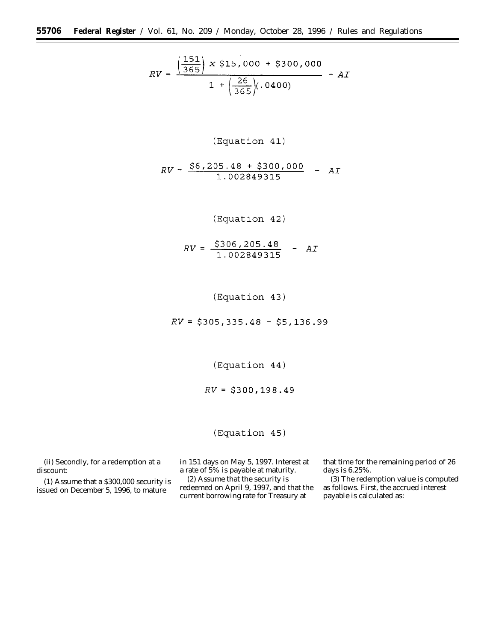$$
RV = \frac{\left(\frac{151}{365}\right) \times $15,000 + $300,000}{1 + \left(\frac{26}{365}\right)(.0400)} - AI
$$

# (Equation 41)

$$
RV = \frac{\$6,205.48 + \$300,000}{1.002849315} - AI
$$

# (Equation 42)

$$
RV = \frac{$306,205.48}{1.002849315} - AI
$$

(Equation 43)

 $RV = $305, 335.48 - $5, 136.99$ 

(Equation 44)

 $RV = $300, 198.49$ 

(Equation 45)

(ii) Secondly, for a redemption at a discount:

(1) Assume that a \$300,000 security is issued on December 5, 1996, to mature

in 151 days on May 5, 1997. Interest at a rate of 5% is payable at maturity.

(2) Assume that the security is redeemed on April 9, 1997, and that the current borrowing rate for Treasury at

that time for the remaining period of 26 days is 6.25%.

(3) The redemption value is computed as follows. First, the accrued interest payable is calculated as: